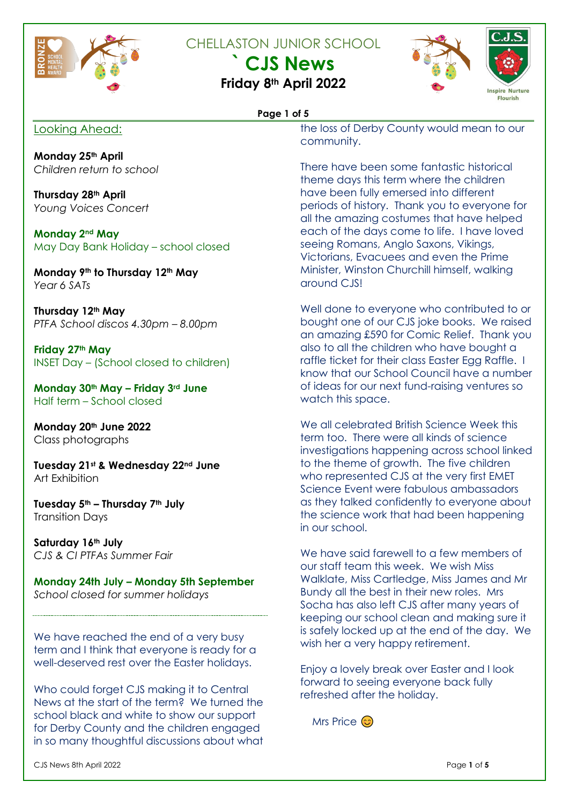

CHELLASTON JUNIOR SCHOOL

**` CJS News**







#### **Page 1 of 5**

### Looking Ahead:

the loss of Derby County would mean to our community.

**Monday 25th April** *Children return to school*

**Thursday 28th April** *Young Voices Concert*

**Monday 2nd May** May Day Bank Holiday – school closed

**Monday 9th to Thursday 12th May** *Year 6 SATs* 

**Thursday 12th May** *PTFA School discos 4.30pm – 8.00pm*

**Friday 27th May** INSET Day – (School closed to children)

**Monday 30th May – Friday 3rd June** Half term – School closed

**Monday 20th June 2022** Class photographs

**Tuesday 21st & Wednesday 22nd June** Art Exhibition

**Tuesday 5th – Thursday 7th July** Transition Days

**Saturday 16th July** *CJS & CI PTFAs Summer Fair*

**Monday 24th July – Monday 5th September** *School closed for summer holidays*

We have reached the end of a very busy term and I think that everyone is ready for a well-deserved rest over the Easter holidays.

Who could forget CJS making it to Central News at the start of the term? We turned the school black and white to show our support for Derby County and the children engaged in so many thoughtful discussions about what

There have been some fantastic historical theme days this term where the children have been fully emersed into different periods of history. Thank you to everyone for all the amazing costumes that have helped each of the days come to life. I have loved seeing Romans, Anglo Saxons, Vikings, Victorians, Evacuees and even the Prime Minister, Winston Churchill himself, walking around CJS!

Well done to everyone who contributed to or bought one of our CJS joke books. We raised an amazing £590 for Comic Relief. Thank you also to all the children who have bought a raffle ticket for their class Easter Egg Raffle. I know that our School Council have a number of ideas for our next fund-raising ventures so watch this space.

We all celebrated British Science Week this term too. There were all kinds of science investigations happening across school linked to the theme of growth. The five children who represented CJS at the very first EMET Science Event were fabulous ambassadors as they talked confidently to everyone about the science work that had been happening in our school.

We have said farewell to a few members of our staff team this week. We wish Miss Walklate, Miss Cartledge, Miss James and Mr Bundy all the best in their new roles. Mrs Socha has also left CJS after many years of keeping our school clean and making sure it is safely locked up at the end of the day. We wish her a very happy retirement.

Enjoy a lovely break over Easter and I look forward to seeing everyone back fully refreshed after the holiday.

Mrs Price ©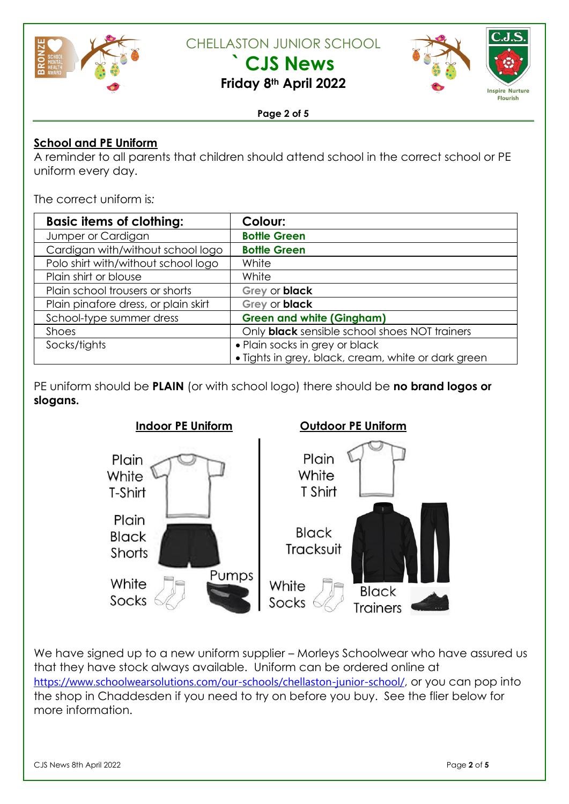

CHELLASTON JUNIOR SCHOOL

**` CJS News**



**Inspire Nurture Flourish** 

**Friday 8th April 2022**

#### **Page 2 of 5**

### **School and PE Uniform**

A reminder to all parents that children should attend school in the correct school or PE uniform every day.

The correct uniform is*:*

| <b>Basic items of clothing:</b>      | <b>Colour:</b>                                       |
|--------------------------------------|------------------------------------------------------|
| Jumper or Cardigan                   | <b>Bottle Green</b>                                  |
| Cardigan with/without school logo    | <b>Bottle Green</b>                                  |
| Polo shirt with/without school logo  | White                                                |
| Plain shirt or blouse                | White                                                |
| Plain school trousers or shorts      | Grey or black                                        |
| Plain pinafore dress, or plain skirt | Grey or black                                        |
| School-type summer dress             | <b>Green and white (Gingham)</b>                     |
| <b>Shoes</b>                         | Only <b>black</b> sensible school shoes NOT trainers |
| Socks/tights                         | • Plain socks in grey or black                       |
|                                      | · Tights in grey, black, cream, white or dark green  |

PE uniform should be **PLAIN** (or with school logo) there should be **no brand logos or slogans.** 



We have signed up to a new uniform supplier – Morleys Schoolwear who have assured us that they have stock always available. Uniform can be ordered online at <https://www.schoolwearsolutions.com/our-schools/chellaston-junior-school/>, or you can pop into the shop in Chaddesden if you need to try on before you buy. See the flier below for more information.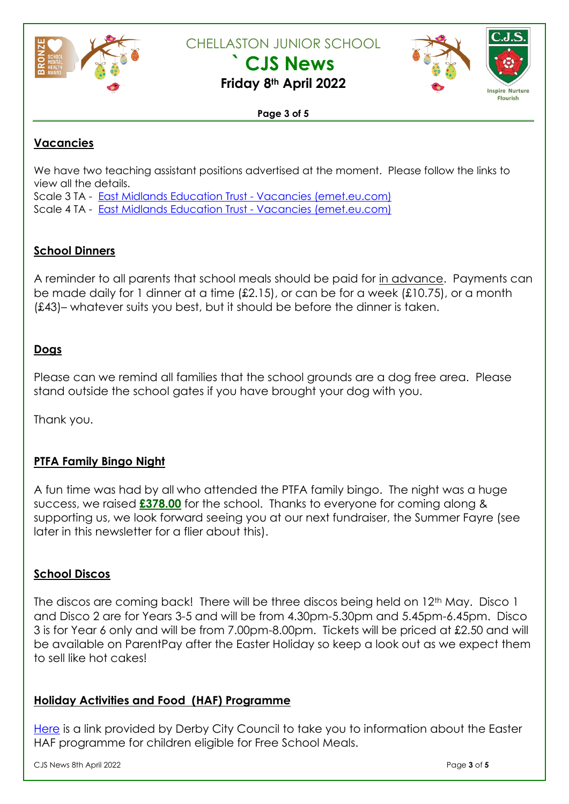

CHELLASTON JUNIOR SCHOOL

**` CJS News**





**Flourish** 

#### **Page 3 of 5**

## **Vacancies**

We have two teaching assistant positions advertised at the moment. Please follow the links to view all the details.

Scale 3 TA - East Midlands Education Trust - Vacancies [\(emet.eu.com\)](https://www.emet.eu.com/vacancies?pid=12&vacancyid=563)

Scale 4 TA - East Midlands Education Trust - Vacancies [\(emet.eu.com\)](https://www.emet.eu.com/vacancies?pid=12&vacancyid=564)

## **School Dinners**

A reminder to all parents that school meals should be paid for in advance. Payments can be made daily for 1 dinner at a time (£2.15), or can be for a week (£10.75), or a month (£43)– whatever suits you best, but it should be before the dinner is taken.

### **Dogs**

Please can we remind all families that the school grounds are a dog free area. Please stand outside the school gates if you have brought your dog with you.

Thank you.

### **PTFA Family Bingo Night**

A fun time was had by all who attended the PTFA family bingo. The night was a huge success, we raised **£378.00** for the school. Thanks to everyone for coming along & supporting us, we look forward seeing you at our next fundraiser, the Summer Fayre (see later in this newsletter for a flier about this).

### **School Discos**

The discos are coming back! There will be three discos being held on 12th May. Disco 1 and Disco 2 are for Years 3-5 and will be from 4.30pm-5.30pm and 5.45pm-6.45pm. Disco 3 is for Year 6 only and will be from 7.00pm-8.00pm. Tickets will be priced at £2.50 and will be available on ParentPay after the Easter Holiday so keep a look out as we expect them to sell like hot cakes!

### **Holiday Activities and Food (HAF) Programme**

[Here](https://www.derby.gov.uk/news/2022/april/easter-promise-holiday-activities-and-food-support) is a link provided by Derby City Council to take you to information about the Easter HAF programme for children eligible for Free School Meals.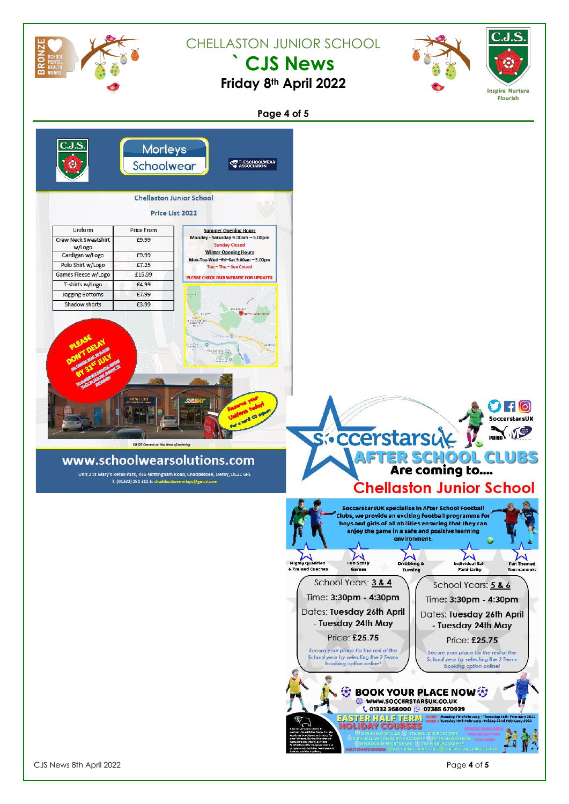